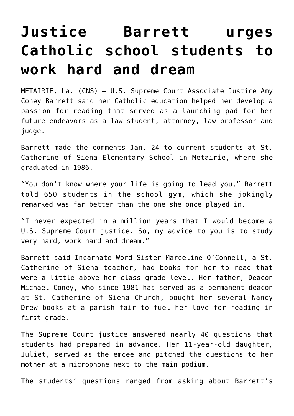## **[Justice Barrett urges](https://www.osvnews.com/amp/2022/01/26/justice-barrett-urges-catholic-school-students-to-work-hard-and-dream/) [Catholic school students to](https://www.osvnews.com/amp/2022/01/26/justice-barrett-urges-catholic-school-students-to-work-hard-and-dream/) [work hard and dream](https://www.osvnews.com/amp/2022/01/26/justice-barrett-urges-catholic-school-students-to-work-hard-and-dream/)**

METAIRIE, La. (CNS) — U.S. Supreme Court Associate Justice Amy Coney Barrett said her Catholic education helped her develop a passion for reading that served as a launching pad for her future endeavors as a law student, attorney, law professor and judge.

Barrett made the comments Jan. 24 to current students at St. Catherine of Siena Elementary School in Metairie, where she graduated in 1986.

"You don't know where your life is going to lead you," Barrett told 650 students in the school gym, which she jokingly remarked was far better than the one she once played in.

"I never expected in a million years that I would become a U.S. Supreme Court justice. So, my advice to you is to study very hard, work hard and dream."

Barrett said Incarnate Word Sister Marceline O'Connell, a St. Catherine of Siena teacher, had books for her to read that were a little above her class grade level. Her father, Deacon Michael Coney, who since 1981 has served as a permanent deacon at St. Catherine of Siena Church, bought her several Nancy Drew books at a parish fair to fuel her love for reading in first grade.

The Supreme Court justice answered nearly 40 questions that students had prepared in advance. Her 11-year-old daughter, Juliet, served as the emcee and pitched the questions to her mother at a microphone next to the main podium.

The students' questions ranged from asking about Barrett's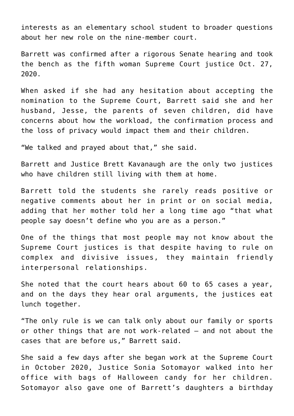interests as an elementary school student to broader questions about her new role on the nine-member court.

Barrett was confirmed after a rigorous Senate hearing and took the bench as the fifth woman Supreme Court justice Oct. 27, 2020.

When asked if she had any hesitation about accepting the nomination to the Supreme Court, Barrett said she and her husband, Jesse, the parents of seven children, did have concerns about how the workload, the confirmation process and the loss of privacy would impact them and their children.

"We talked and prayed about that," she said.

Barrett and Justice Brett Kavanaugh are the only two justices who have children still living with them at home.

Barrett told the students she rarely reads positive or negative comments about her in print or on social media, adding that her mother told her a long time ago "that what people say doesn't define who you are as a person."

One of the things that most people may not know about the Supreme Court justices is that despite having to rule on complex and divisive issues, they maintain friendly interpersonal relationships.

She noted that the court hears about 60 to 65 cases a year, and on the days they hear oral arguments, the justices eat lunch together.

"The only rule is we can talk only about our family or sports or other things that are not work-related — and not about the cases that are before us," Barrett said.

She said a few days after she began work at the Supreme Court in October 2020, Justice Sonia Sotomayor walked into her office with bags of Halloween candy for her children. Sotomayor also gave one of Barrett's daughters a birthday